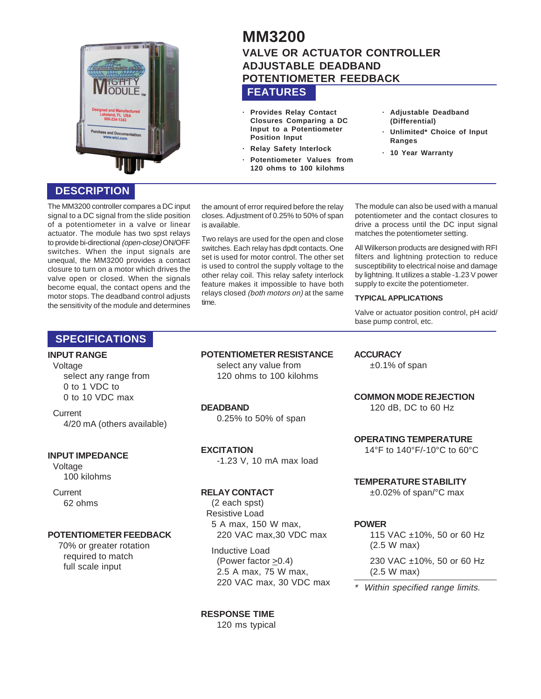

# **FEATURES MM3200 VALVE OR ACTUATOR CONTROLLER ADJUSTABLE DEADBAND POTENTIOMETER FEEDBACK**

- **· Provides Relay Contact Closures Comparing a DC Input to a Potentiometer Position Input**
- **· Relay Safety Interlock**
- **· Potentiometer Values from 120 ohms to 100 kilohms**
- **· Adjustable Deadband (Differential)**
- **· Unlimited\* Choice of Input Ranges**
- **· 10 Year Warranty**

# **DESCRIPTION**

The MM3200 controller compares a DC input signal to a DC signal from the slide position of a potentiometer in a valve or linear actuator. The module has two spst relays to provide bi-directional (open-close) ON/OFF switches. When the input signals are unequal, the MM3200 provides a contact closure to turn on a motor which drives the valve open or closed. When the signals become equal, the contact opens and the motor stops. The deadband control adjusts the sensitivity of the module and determines the amount of error required before the relay closes. Adjustment of 0.25% to 50% of span is available.

Two relays are used for the open and close switches. Each relay has dpdt contacts. One set is used for motor control. The other set is used to control the supply voltage to the other relay coil. This relay safety interlock feature makes it impossible to have both relays closed (both motors on) at the same time.

The module can also be used with a manual potentiometer and the contact closures to drive a process until the DC input signal matches the potentiometer setting.

All Wilkerson products are designed with RFI filters and lightning protection to reduce susceptibility to electrical noise and damage by lightning. It utilizes a stable -1.23 V power supply to excite the potentiometer.

#### **TYPICAL APPLICATIONS**

Valve or actuator position control, pH acid/ base pump control, etc.

## **SPECIFICATIONS**

## **INPUT RANGE**

**Voltage** select any range from 0 to 1 VDC to 0 to 10 VDC max

**Current** 4/20 mA (others available)

#### **INPUT IMPEDANCE**

Voltage 100 kilohms

**Current** 62 ohms

#### **POTENTIOMETER FEEDBACK**

70% or greater rotation required to match full scale input

**POTENTIOMETER RESISTANCE**

select any value from 120 ohms to 100 kilohms

#### **DEADBAND**

0.25% to 50% of span

**EXCITATION**

-1.23 V, 10 mA max load

#### **RELAY CONTACT**

(2 each spst) Resistive Load 5 A max, 150 W max, 220 VAC max,30 VDC max

Inductive Load (Power factor >0.4) 2.5 A max, 75 W max, 220 VAC max, 30 VDC max

**RESPONSE TIME** 120 ms typical

#### **ACCURACY**

±0.1% of span

**COMMON MODE REJECTION** 120 dB, DC to 60 Hz

**OPERATING TEMPERATURE**

14°F to 140°F/-10°C to 60°C

**TEMPERATURE STABILITY**

±0.02% of span/°C max

#### **POWER**

115 VAC ±10%, 50 or 60 Hz (2.5 W max)

230 VAC ±10%, 50 or 60 Hz (2.5 W max)

Within specified range limits.